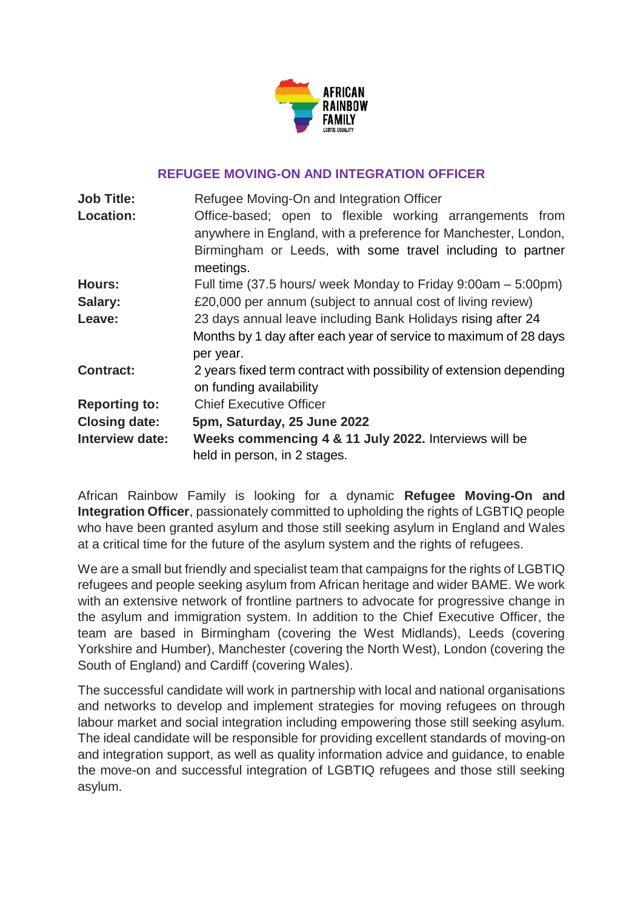

### **REFUGEE MOVING-ON AND INTEGRATION OFFICER**

| <b>Job Title:</b>    | Refugee Moving-On and Integration Officer                                                                                                                                                |
|----------------------|------------------------------------------------------------------------------------------------------------------------------------------------------------------------------------------|
| <b>Location:</b>     | Office-based; open to flexible working arrangements from<br>anywhere in England, with a preference for Manchester, London,<br>Birmingham or Leeds, with some travel including to partner |
|                      | meetings.                                                                                                                                                                                |
| <b>Hours:</b>        | Full time (37.5 hours/ week Monday to Friday 9:00am – 5:00pm)                                                                                                                            |
| Salary:              | £20,000 per annum (subject to annual cost of living review)                                                                                                                              |
| Leave:               | 23 days annual leave including Bank Holidays rising after 24                                                                                                                             |
|                      | Months by 1 day after each year of service to maximum of 28 days<br>per year.                                                                                                            |
| <b>Contract:</b>     | 2 years fixed term contract with possibility of extension depending<br>on funding availability                                                                                           |
| <b>Reporting to:</b> | <b>Chief Executive Officer</b>                                                                                                                                                           |
| <b>Closing date:</b> | 5pm, Saturday, 25 June 2022                                                                                                                                                              |
| Interview date:      | Weeks commencing 4 & 11 July 2022. Interviews will be                                                                                                                                    |
|                      | held in person, in 2 stages.                                                                                                                                                             |

African Rainbow Family is looking for a dynamic **Refugee Moving-On and Integration Officer**, passionately committed to upholding the rights of LGBTIQ people who have been granted asylum and those still seeking asylum in England and Wales at a critical time for the future of the asylum system and the rights of refugees.

We are a small but friendly and specialist team that campaigns for the rights of LGBTIQ refugees and people seeking asylum from African heritage and wider BAME. We work with an extensive network of frontline partners to advocate for progressive change in the asylum and immigration system. In addition to the Chief Executive Officer, the team are based in Birmingham (covering the West Midlands), Leeds (covering Yorkshire and Humber), Manchester (covering the North West), London (covering the South of England) and Cardiff (covering Wales).

The successful candidate will work in partnership with local and national organisations and networks to develop and implement strategies for moving refugees on through labour market and social integration including empowering those still seeking asylum. The ideal candidate will be responsible for providing excellent standards of moving-on and integration support, as well as quality information advice and guidance, to enable the move-on and successful integration of LGBTIQ refugees and those still seeking asylum.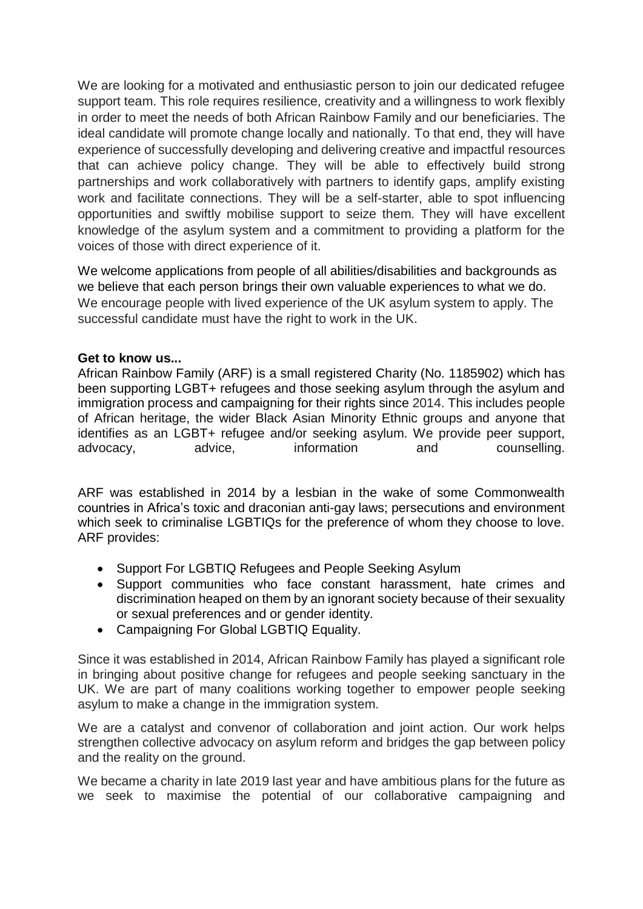We are looking for a motivated and enthusiastic person to join our dedicated refugee support team. This role requires resilience, creativity and a willingness to work flexibly in order to meet the needs of both African Rainbow Family and our beneficiaries. The ideal candidate will promote change locally and nationally. To that end, they will have experience of successfully developing and delivering creative and impactful resources that can achieve policy change. They will be able to effectively build strong partnerships and work collaboratively with partners to identify gaps, amplify existing work and facilitate connections. They will be a self-starter, able to spot influencing opportunities and swiftly mobilise support to seize them. They will have excellent knowledge of the asylum system and a commitment to providing a platform for the voices of those with direct experience of it.

We welcome applications from people of all abilities/disabilities and backgrounds as we believe that each person brings their own valuable experiences to what we do. We encourage people with lived experience of the UK asylum system to apply. The successful candidate must have the right to work in the UK.

### **Get to know us...**

African Rainbow Family (ARF) is a small registered Charity (No. 1185902) which has been supporting LGBT+ refugees and those seeking asylum through the asylum and immigration process and campaigning for their rights since 2014. This includes people of African heritage, the wider Black Asian Minority Ethnic groups and anyone that identifies as an LGBT+ refugee and/or seeking asylum. We provide peer support, advocacy, advice, information and counselling.

ARF was established in 2014 by a lesbian in the wake of some Commonwealth countries in Africa's toxic and draconian anti-gay laws; persecutions and environment which seek to criminalise LGBTIQs for the preference of whom they choose to love. ARF provides:

- Support For LGBTIQ Refugees and People Seeking Asylum
- Support communities who face constant harassment, hate crimes and discrimination heaped on them by an ignorant society because of their sexuality or sexual preferences and or gender identity.
- Campaigning For Global LGBTIQ Equality.

Since it was established in 2014, African Rainbow Family has played a significant role in bringing about positive change for refugees and people seeking sanctuary in the UK. We are part of many coalitions working together to empower people seeking asylum to make a change in the immigration system.

We are a catalyst and convenor of collaboration and joint action. Our work helps strengthen collective advocacy on asylum reform and bridges the gap between policy and the reality on the ground.

We became a charity in late 2019 last year and have ambitious plans for the future as we seek to maximise the potential of our collaborative campaigning and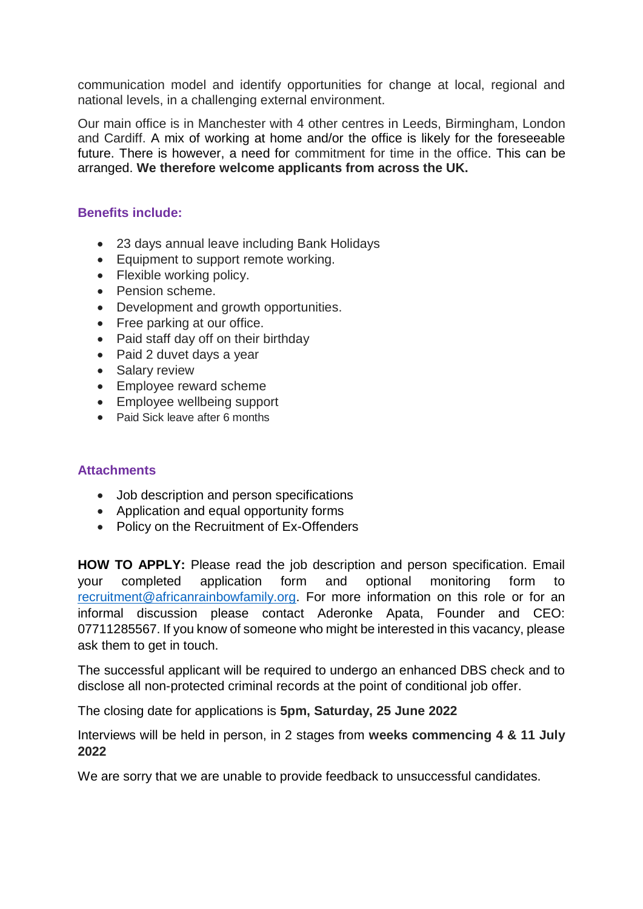communication model and identify opportunities for change at local, regional and national levels, in a challenging external environment.

Our main office is in Manchester with 4 other centres in Leeds, Birmingham, London and Cardiff. A mix of working at home and/or the office is likely for the foreseeable future. There is however, a need for commitment for time in the office. This can be arranged. **We therefore welcome applicants from across the UK.**

### **Benefits include:**

- 23 days annual leave including Bank Holidays
- Equipment to support remote working.
- Flexible working policy.
- Pension scheme.
- Development and growth opportunities.
- Free parking at our office.
- Paid staff day off on their birthday
- Paid 2 duvet days a year
- Salary review
- Employee reward scheme
- Employee wellbeing support
- Paid Sick leave after 6 months

### **Attachments**

- Job description and person specifications
- Application and equal opportunity forms
- Policy on the Recruitment of Ex-Offenders

**HOW TO APPLY:** Please read the job description and person specification. Email your completed application form and optional monitoring form to [recruitment@africanrainbowfamily.org.](mailto:recruitment@africanrainbowfamily.org) For more information on this role or for an informal discussion please contact Aderonke Apata, Founder and CEO: 07711285567. If you know of someone who might be interested in this vacancy, please ask them to get in touch.

The successful applicant will be required to undergo an enhanced DBS check and to disclose all non-protected criminal records at the point of conditional job offer.

The closing date for applications is **5pm, Saturday, 25 June 2022**

Interviews will be held in person, in 2 stages from **weeks commencing 4 & 11 July 2022**

We are sorry that we are unable to provide feedback to unsuccessful candidates.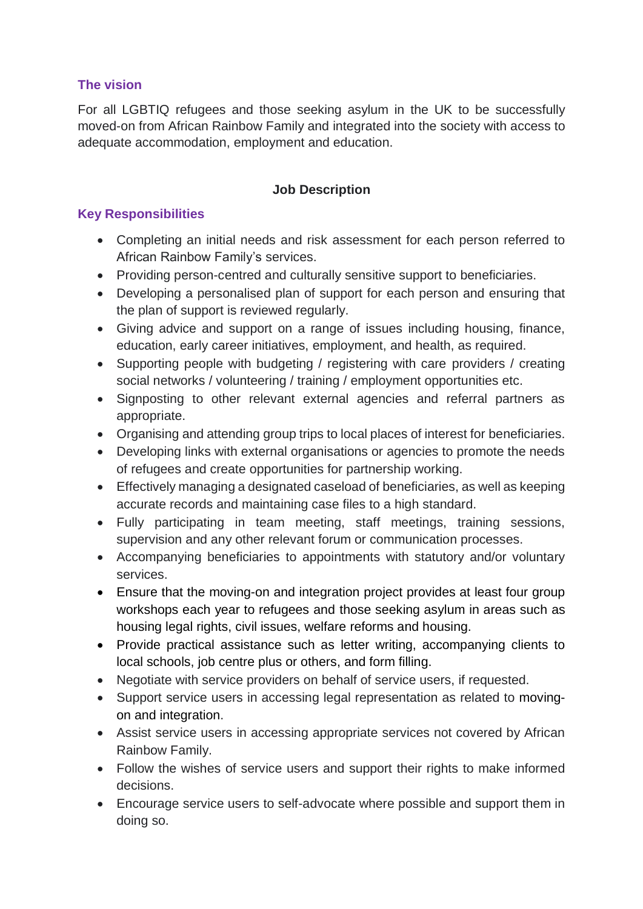# **The vision**

For all LGBTIQ refugees and those seeking asylum in the UK to be successfully moved-on from African Rainbow Family and integrated into the society with access to adequate accommodation, employment and education.

## **Job Description**

# **Key Responsibilities**

- Completing an initial needs and risk assessment for each person referred to African Rainbow Family's services.
- Providing person-centred and culturally sensitive support to beneficiaries.
- Developing a personalised plan of support for each person and ensuring that the plan of support is reviewed regularly.
- Giving advice and support on a range of issues including housing, finance, education, early career initiatives, employment, and health, as required.
- Supporting people with budgeting / registering with care providers / creating social networks / volunteering / training / employment opportunities etc.
- Signposting to other relevant external agencies and referral partners as appropriate.
- Organising and attending group trips to local places of interest for beneficiaries.
- Developing links with external organisations or agencies to promote the needs of refugees and create opportunities for partnership working.
- Effectively managing a designated caseload of beneficiaries, as well as keeping accurate records and maintaining case files to a high standard.
- Fully participating in team meeting, staff meetings, training sessions, supervision and any other relevant forum or communication processes.
- Accompanying beneficiaries to appointments with statutory and/or voluntary services.
- Ensure that the moving-on and integration project provides at least four group workshops each year to refugees and those seeking asylum in areas such as housing legal rights, civil issues, welfare reforms and housing.
- Provide practical assistance such as letter writing, accompanying clients to local schools, job centre plus or others, and form filling.
- Negotiate with service providers on behalf of service users, if requested.
- Support service users in accessing legal representation as related to movingon and integration.
- Assist service users in accessing appropriate services not covered by African Rainbow Family.
- Follow the wishes of service users and support their rights to make informed decisions.
- Encourage service users to self-advocate where possible and support them in doing so.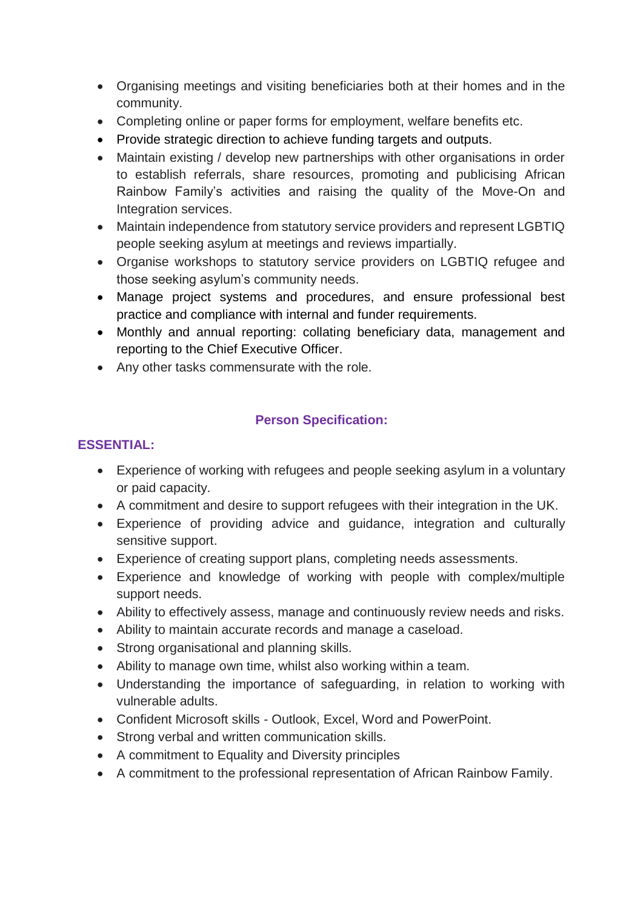- Organising meetings and visiting beneficiaries both at their homes and in the community.
- Completing online or paper forms for employment, welfare benefits etc.
- Provide strategic direction to achieve funding targets and outputs.
- Maintain existing / develop new partnerships with other organisations in order to establish referrals, share resources, promoting and publicising African Rainbow Family's activities and raising the quality of the Move-On and Integration services.
- Maintain independence from statutory service providers and represent LGBTIQ people seeking asylum at meetings and reviews impartially.
- Organise workshops to statutory service providers on LGBTIQ refugee and those seeking asylum's community needs.
- Manage project systems and procedures, and ensure professional best practice and compliance with internal and funder requirements.
- Monthly and annual reporting: collating beneficiary data, management and reporting to the Chief Executive Officer.
- Any other tasks commensurate with the role.

# **Person Specification:**

## **ESSENTIAL:**

- Experience of working with refugees and people seeking asylum in a voluntary or paid capacity.
- A commitment and desire to support refugees with their integration in the UK.
- Experience of providing advice and guidance, integration and culturally sensitive support.
- Experience of creating support plans, completing needs assessments.
- Experience and knowledge of working with people with complex/multiple support needs.
- Ability to effectively assess, manage and continuously review needs and risks.
- Ability to maintain accurate records and manage a caseload.
- Strong organisational and planning skills.
- Ability to manage own time, whilst also working within a team.
- Understanding the importance of safeguarding, in relation to working with vulnerable adults.
- Confident Microsoft skills Outlook, Excel, Word and PowerPoint.
- Strong verbal and written communication skills.
- A commitment to Equality and Diversity principles
- A commitment to the professional representation of African Rainbow Family.